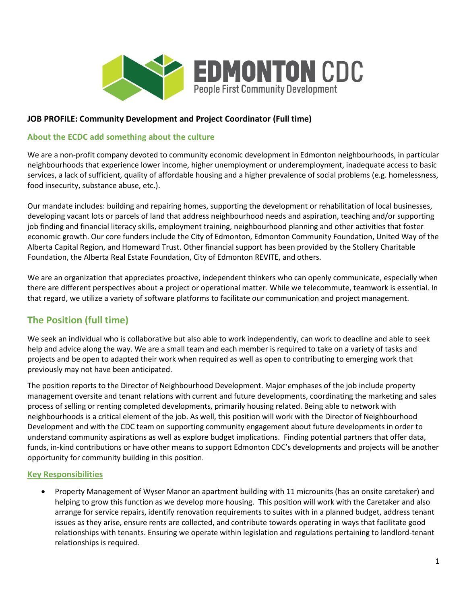

# **JOB PROFILE: Community Development and Project Coordinator (Full time)**

# **About the ECDC add something about the culture**

We are a non-profit company devoted to community economic development in Edmonton neighbourhoods, in particular neighbourhoods that experience lower income, higher unemployment or underemployment, inadequate access to basic services, a lack of sufficient, quality of affordable housing and a higher prevalence of social problems (e.g. homelessness, food insecurity, substance abuse, etc.).

Our mandate includes: building and repairing homes, supporting the development or rehabilitation of local businesses, developing vacant lots or parcels of land that address neighbourhood needs and aspiration, teaching and/or supporting job finding and financial literacy skills, employment training, neighbourhood planning and other activities that foster economic growth. Our core funders include the City of Edmonton, Edmonton Community Foundation, United Way of the Alberta Capital Region, and Homeward Trust. Other financial support has been provided by the Stollery Charitable Foundation, the Alberta Real Estate Foundation, City of Edmonton REVITE, and others.

We are an organization that appreciates proactive, independent thinkers who can openly communicate, especially when there are different perspectives about a project or operational matter. While we telecommute, teamwork is essential. In that regard, we utilize a variety of software platforms to facilitate our communication and project management.

# **The Position (full time)**

We seek an individual who is collaborative but also able to work independently, can work to deadline and able to seek help and advice along the way. We are a small team and each member is required to take on a variety of tasks and projects and be open to adapted their work when required as well as open to contributing to emerging work that previously may not have been anticipated.

The position reports to the Director of Neighbourhood Development. Major emphases of the job include property management oversite and tenant relations with current and future developments, coordinating the marketing and sales process of selling or renting completed developments, primarily housing related. Being able to network with neighbourhoods is a critical element of the job. As well, this position will work with the Director of Neighbourhood Development and with the CDC team on supporting community engagement about future developments in order to understand community aspirations as well as explore budget implications. Finding potential partners that offer data, funds, in-kind contributions or have other means to support Edmonton CDC's developments and projects will be another opportunity for community building in this position.

# **Key Responsibilities**

• Property Management of Wyser Manor an apartment building with 11 microunits (has an onsite caretaker) and helping to grow this function as we develop more housing. This position will work with the Caretaker and also arrange for service repairs, identify renovation requirements to suites with in a planned budget, address tenant issues as they arise, ensure rents are collected, and contribute towards operating in ways that facilitate good relationships with tenants. Ensuring we operate within legislation and regulations pertaining to landlord-tenant relationships is required.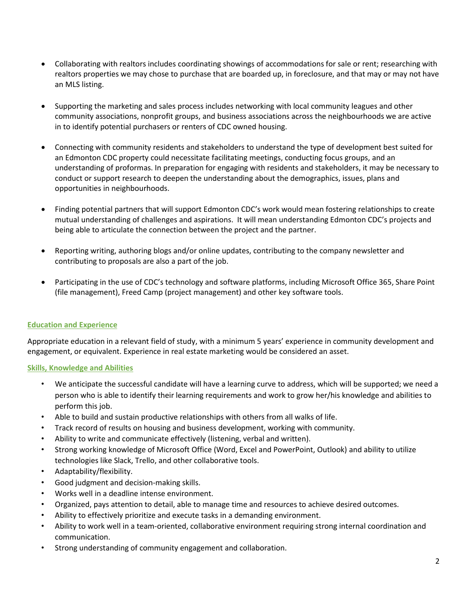- Collaborating with realtors includes coordinating showings of accommodations for sale or rent; researching with realtors properties we may chose to purchase that are boarded up, in foreclosure, and that may or may not have an MLS listing.
- Supporting the marketing and sales process includes networking with local community leagues and other community associations, nonprofit groups, and business associations across the neighbourhoods we are active in to identify potential purchasers or renters of CDC owned housing.
- Connecting with community residents and stakeholders to understand the type of development best suited for an Edmonton CDC property could necessitate facilitating meetings, conducting focus groups, and an understanding of proformas. In preparation for engaging with residents and stakeholders, it may be necessary to conduct or support research to deepen the understanding about the demographics, issues, plans and opportunities in neighbourhoods.
- Finding potential partners that will support Edmonton CDC's work would mean fostering relationships to create mutual understanding of challenges and aspirations. It will mean understanding Edmonton CDC's projects and being able to articulate the connection between the project and the partner.
- Reporting writing, authoring blogs and/or online updates, contributing to the company newsletter and contributing to proposals are also a part of the job.
- Participating in the use of CDC's technology and software platforms, including Microsoft Office 365, Share Point (file management), Freed Camp (project management) and other key software tools.

## **Education and Experience**

Appropriate education in a relevant field of study, with a minimum 5 years' experience in community development and engagement, or equivalent. Experience in real estate marketing would be considered an asset.

#### **Skills, Knowledge and Abilities**

- We anticipate the successful candidate will have a learning curve to address, which will be supported; we need a person who is able to identify their learning requirements and work to grow her/his knowledge and abilities to perform this job.
- Able to build and sustain productive relationships with others from all walks of life.
- Track record of results on housing and business development, working with community.
- Ability to write and communicate effectively (listening, verbal and written).
- Strong working knowledge of Microsoft Office (Word, Excel and PowerPoint, Outlook) and ability to utilize technologies like Slack, Trello, and other collaborative tools.
- Adaptability/flexibility.
- Good judgment and decision-making skills.
- Works well in a deadline intense environment.
- Organized, pays attention to detail, able to manage time and resources to achieve desired outcomes.
- Ability to effectively prioritize and execute tasks in a demanding environment.
- Ability to work well in a team-oriented, collaborative environment requiring strong internal coordination and communication.
- Strong understanding of community engagement and collaboration.